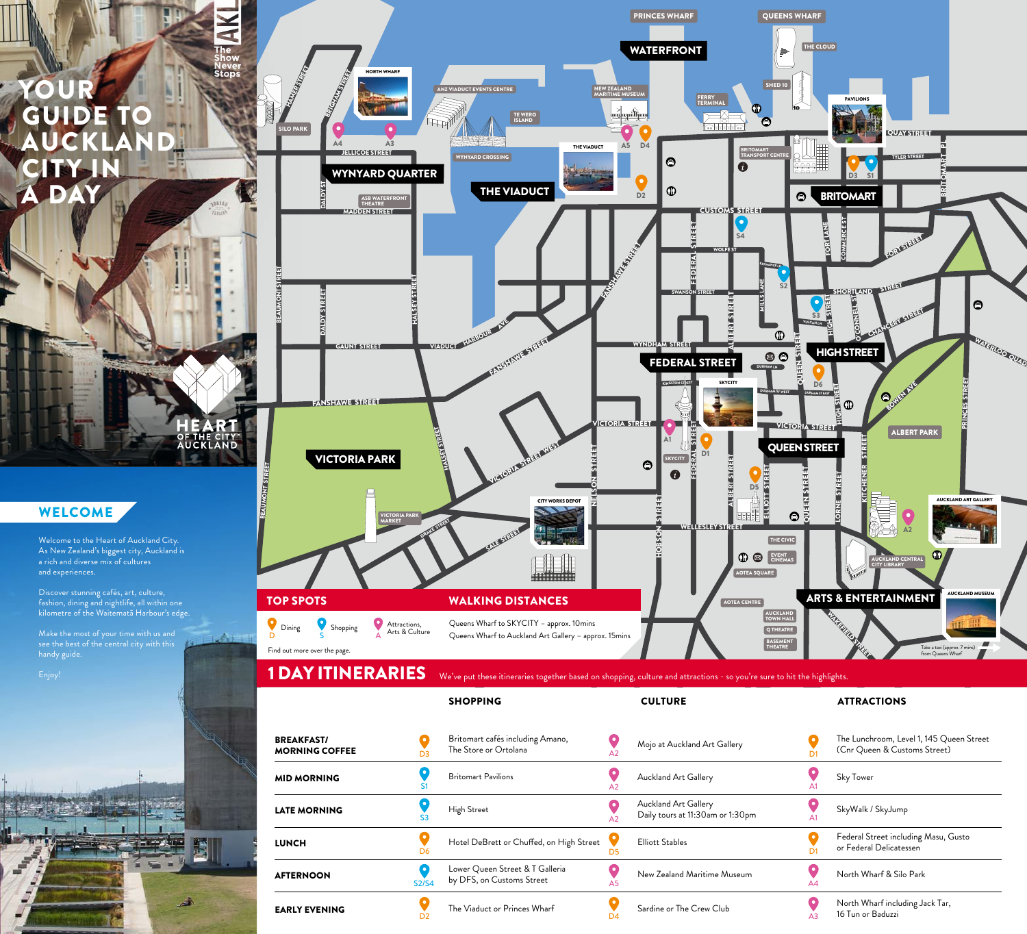# YOUR GUIDE TO AUCKLAND CITY IN **DAY**

#### WELCOME

Welcome to the Heart of Auckland City. As New Zealand's biggest city, Auckland is a rich and diverse mix of cultures and experiences.

Discover stunning cafés, art, culture, fashion, dining and nightlife, all within one kilometre of the Waitematā Harbour's edge.

Make the most of your time with us and handy guide.





D<sub>4</sub>

A3